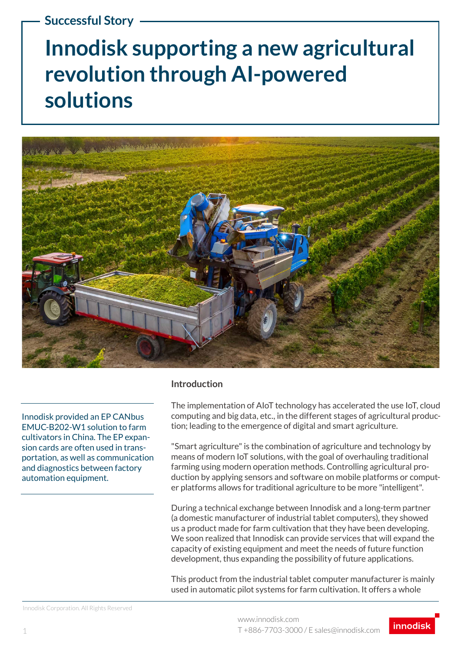### **Successful Story**

# **Innodisk supporting a new agricultural revolution through AI-powered solutions**



Innodisk provided an EP CANbus EMUC-B202-W1 solution to farm cultivators in China. The EP expansion cards are often used in transportation, as well as communication and diagnostics between factory automation equipment.

#### **Introduction**

The implementation of AIoT technology has accelerated the use IoT, cloud computing and big data, etc., in the different stages of agricultural production; leading to the emergence of digital and smart agriculture.

"Smart agriculture" is the combination of agriculture and technology by means of modern IoT solutions, with the goal of overhauling traditional farming using modern operation methods. Controlling agricultural production by applying sensors and software on mobile platforms or computer platforms allows for traditional agriculture to be more "intelligent".

During a technical exchange between Innodisk and a long-term partner (a domestic manufacturer of industrial tablet computers), they showed us a product made for farm cultivation that they have been developing. We soon realized that Innodisk can provide services that will expand the capacity of existing equipment and meet the needs of future function development, thus expanding the possibility of future applications.

This product from the industrial tablet computer manufacturer is mainly used in automatic pilot systems for farm cultivation. It offers a whole

Innodisk Corporation. All Rights Reserved